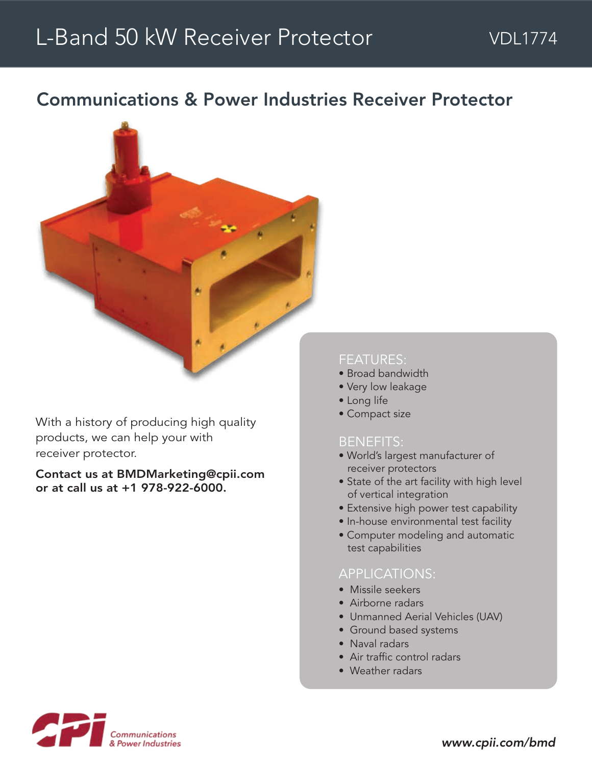# L-Band 50 kW Receiver Protector

## Communications & Power Industries Receiver Protector



With a history of producing high quality products, we can help your with receiver protector.

Contact us at BMDMarketing@cpii.com or at call us at +1 978-922-6000.

#### FEATURES:

- Broad bandwidth
- Very low leakage
- Long life
- Compact size

#### BENEFITS:

- World's largest manufacturer of receiver protectors
- State of the art facility with high level of vertical integration
- Extensive high power test capability
- In-house environmental test facility
- Computer modeling and automatic test capabilities

#### APPLICATIONS:

- Missile seekers
- Airborne radars
- Unmanned Aerial Vehicles (UAV)
- Ground based systems
- Naval radars
- Air traffic control radars
- Weather radars